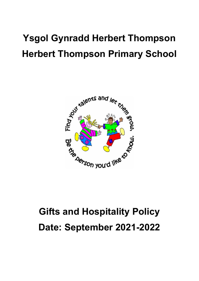## **Ysgol Gynradd Herbert Thompson Herbert Thompson Primary School**



# **Gifts and Hospitality Policy Date: September 2021-2022**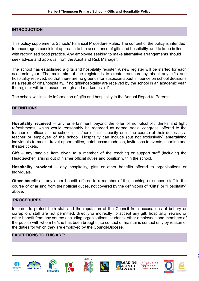#### **INTRODUCTION**

This policy supplements Schools' Financial Procedure Rules. The content of the policy is intended to encourage a consistent approach to the acceptance of gifts and hospitality, and to keep in line with recognised good practice. Any employee seeking to make alternative arrangements should seek advice and approval from the Audit and Risk Manager.

The school has established a gifts and hospitality register. A new register will be started for each academic year. The main aim of the register is to create transparency about any gifts and hospitality received, so that there are no grounds for suspicion about influence on school decisions as a result of gifts/hospitality. If no gifts/hospitality are received by the school in an academic year, the register will be crossed through and marked as "nil".

The school will include information of gifts and hospitality in the Annual Report to Parents.

#### **DEFINITIONS**

**Hospitality received** – any entertainment beyond the offer of non-alcoholic drinks and light refreshments, which would reasonably be regarded as normal social congress, offered to the teacher or officer at the school in his/her official capacity or in the course of their duties as a teacher or employee of the school. Hospitality can include (but not exclusively) entertaining individuals to meals, travel opportunities, hotel accommodation, invitations to events, sporting and theatre tickets.

**Gift** – any tangible item given to a member of the teaching or support staff (including the Headteacher) arising out of his/her official duties and position within the school.

**Hospitality provided** – any hospitality, gifts or other benefits offered to organisations or individuals.

**Other benefits** – any other benefit offered to a member of the teaching or support staff in the course of or arising from their official duties, not covered by the definitions of "Gifts" or "Hospitality" above.

#### **PROCEDURES**

In order to protect both staff and the reputation of the Council from accusations of bribery or corruption, staff are not permitted, directly or indirectly, to accept any gift, hospitality, reward or other benefit from any source (including organisations, students, other employees and members of the public) with whom he/she has been brought into contact or maintains contact only by reason of the duties for which they are employed by the Council/Diocese.

#### **EXCEPTIONS TO THIS ARE:**















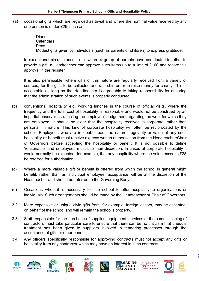(a) occasional gifts which are regarded as trivial and where the nominal value received by any one person is under £25, such as

> Diaries **Calendars** Pens Modest gifts given by individuals (such as parents or children) to express gratitude.

In exceptional circumstances, e.g. where a group of parents have contributed together to provide a gift, a Headteacher can approve such items up to a limit of £100 and record this approval in the register.

It is also permissible, where gifts of this nature are regularly received from a variety of sources, for the gifts to be collected and raffled in order to raise money for charity. This is acceptable as long as the Headteacher is agreeable to taking responsibility for ensuring that the administration of such events is properly conducted.

- (b) conventional hospitality e.g. working lunches in the course of official visits, where the frequency and the total cost of hospitality is reasonable and would not be construed by an impartial observer as affecting the employee's judgement regarding the work for which they are employed. It should be clear that the hospitality received is corporate, rather than personal, in nature. This kind of corporate hospitality will often be reciprocated by the school. Employees who are in doubt about the nature, regularity or value of any such hospitality or benefit must receive express written authorisation from the Headteacher/Chair of Governors before accepting the hospitality or benefit. It is not possible to define 'reasonable' and employees must use their discretion. In cases of corporate hospitality it would normally be expected, for example, that any hospitality where the value exceeds £25 be referred for authorisation.
- (c) Where a more valuable gift or benefit is offered from which the school in general might benefit, rather than an individual employee, acceptance will be at the discretion of the Headteacher and should be referred to the Governing Body.
- (d) Occasions when it is necessary for the school to offer hospitality to organisations or individuals. Such arrangements should be made by the Headteacher or Chair of Governors.
- 3.2 More expensive or unique civic gifts from, for example, foreign visitors, may be accepted on behalf of the school and will remain the school's property.
- 3.3 Staff responsible for the purchase of supplies, equipment, services or the commissioning of contractors must take particular care to ensure that there can be no criticism that unequal treatment has been given to suppliers involved in tendering processes through the acceptance of gifts or other benefits.
- 3.4 Any officers specifically responsible for approving contracts must not accept any gifts or hospitality from any contractor which may have an interest in such contracts.















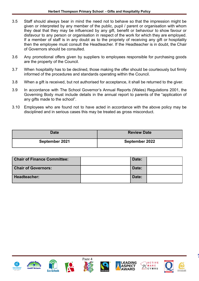- 3.5 Staff should always bear in mind the need not to behave so that the impression might be given or interpreted by any member of the public, pupil / parent or organisation with whom they deal that they may be influenced by any gift, benefit or behaviour to show favour or disfavour to any person or organisation in respect of the work for which they are employed. If a member of staff is in any doubt as to the propriety of receiving any gift or hospitality then the employee must consult the Headteacher. If the Headteacher is in doubt, the Chair of Governors should be consulted.
- 3.6 Any promotional offers given by suppliers to employees responsible for purchasing goods are the property of the Council.
- 3.7 When hospitality has to be declined, those making the offer should be courteously but firmly informed of the procedures and standards operating within the Council.
- 3.8 When a gift is received, but not authorised for acceptance, it shall be returned to the giver.
- 3.9 In accordance with The School Governor's Annual Reports (Wales) Regulations 2001, the Governing Body must include details in the annual report to parents of the "application of any gifts made to the school".
- 3.10 Employees who are found not to have acted in accordance with the above policy may be disciplined and in serious cases this may be treated as gross misconduct.

| <b>Date</b>    | <b>Review Date</b> |
|----------------|--------------------|
| September 2021 | September 2022     |

| <b>Chair of Finance Committee:</b> | Date: |  |
|------------------------------------|-------|--|
| <b>Chair of Governors:</b>         | Date: |  |
| Headteacher:                       | Date: |  |



















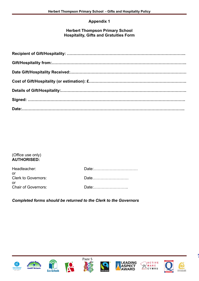#### **Appendix 1**

#### **Herbert Thompson Primary School Hospitality, Gifts and Gratuities Form**

#### (Office use only) **AUTHORISED:**

| Headteacher:                     |       |
|----------------------------------|-------|
| or<br><b>Clerk to Governors:</b> | Date  |
| or<br><b>Chair of Governors:</b> | Date: |

*Completed forms should be returned to the Clerk to the Governors*